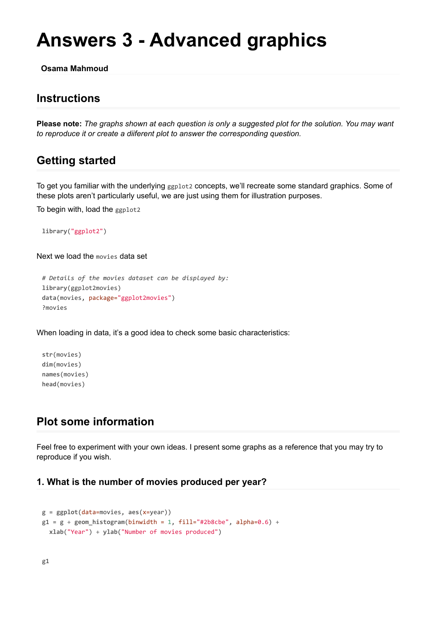# **Answers 3 - Advanced graphics**

**Osama Mahmoud**

# **Instructions**

**Please note:** *The graphs shown at each question is only a suggested plot for the solution. You may want to reproduce it or create a diiferent plot to answer the corresponding question.*

# **Getting started**

To get you familiar with the underlying ggplot2 concepts, we'll recreate some standard graphics. Some of these plots aren't particularly useful, we are just using them for illustration purposes.

To begin with, load the ggplot2

**library**("ggplot2")

Next we load the movies data set

```
# Details of the movies dataset can be displayed by:
library(ggplot2movies)
data(movies, package="ggplot2movies")
?movies
```
When loading in data, it's a good idea to check some basic characteristics:

**str**(movies) **dim**(movies) **names**(movies) **head**(movies)

# **Plot some information**

Feel free to experiment with your own ideas. I present some graphs as a reference that you may try to reproduce if you wish.

#### **1. What is the number of movies produced per year?**

```
g = ggplot(data=movies, aes(x=year))
g1 = g + geom histogram(binwidth = 1, fill="#2b8cbe", alpha=0.6) +
 xlab("Year") + ylab("Number of movies produced")
```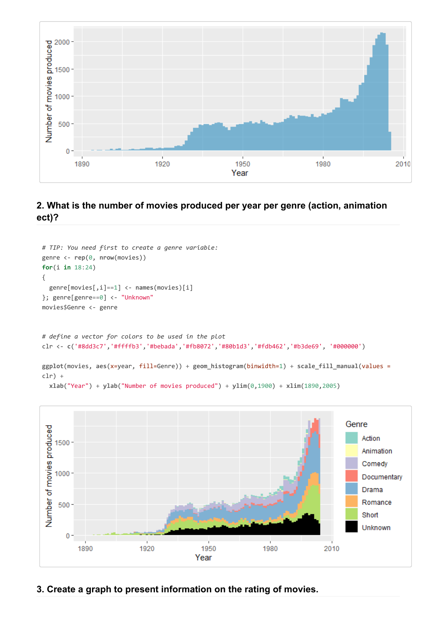

## **2. What is the number of movies produced per year per genre (action, animation ect)?**

```
# TIP: You need first to create a genre variable:
genre <- rep(0, nrow(movies))
for(i in 18:24)
{
  genre[movies[,i]==1] <- names(movies)[i]
}; genre[genre==0] <- "Unknown"
movies$Genre <- genre
# define a vector for colors to be used in the plot
clr <- c('#8dd3c7','#ffffb3','#bebada','#fb8072','#80b1d3','#fdb462','#b3de69', '#000000')
ggplot(movies, aes(x=year, fill=Genre)) + geom_histogram(binwidth=1) + scale_fill_manual(values =
clr) +
  xlab("Year") + ylab("Number of movies produced") + ylim(0,1900) + xlim(1890,2005)
```


#### **3. Create a graph to present information on the rating of movies.**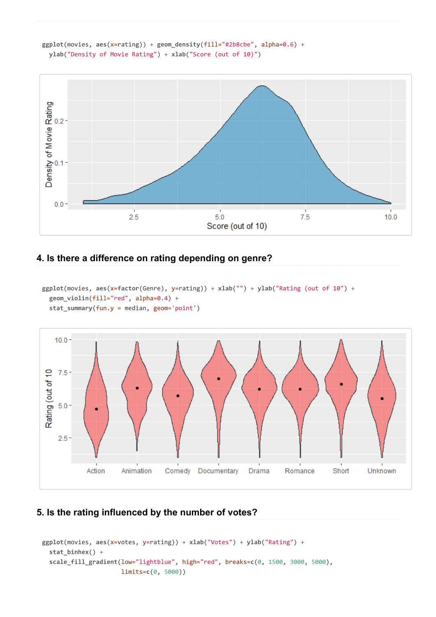



### **4. Is there a difference on rating depending on genre?**

```
ggplot(movies, aes(x=factor(Genre), y=rating)) + xlab("") + ylab("Rating (out of 10") +
  geom_violin(fill="red", alpha=0.4) +
  stat_summary(fun.y = median, geom='point')
```


## **5. Is the rating influenced by the number of votes?**

```
ggplot(movies, aes(x=votes, y=rating)) + xlab("Votes") + ylab("Rating") +
  stat_binhex() +
  scale_fill_gradient(low="lightblue", high="red", breaks=c(0, 1500, 3000, 5000),
                      limits=c(0, 5000))
```